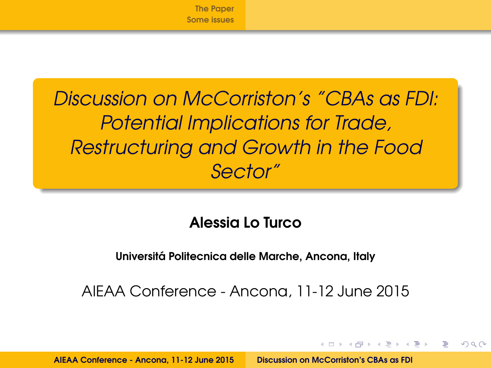

<span id="page-0-0"></span>Discussion on McCorriston's "CBAs as FDI: Potential Implications for Trade, Restructuring and Growth in the Food Sector"

# Alessia Lo Turco

#### Universita Politecnica delle Marche, Ancona, Italy ´

AIEAA Conference - Ancona, 11-12 June 2015

イロト イ押ト イラト イラト

 $\Omega$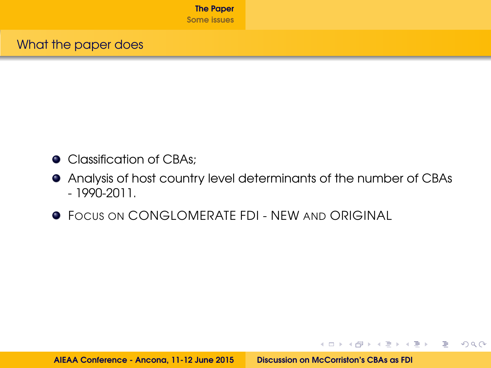- <span id="page-1-0"></span>**O** Classification of CBAs;
- Analysis of host country level determinants of the number of CBAs - 1990-2011.
- **FOCUS ON CONGLOMERATE FDI NEW AND ORIGINAL**

イロト (押)・イヨ)・イヨ) - ヨー の女の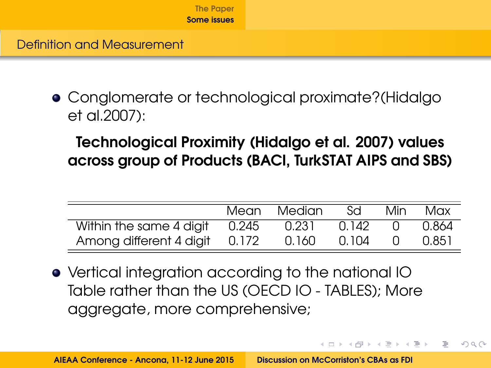<span id="page-2-0"></span>Definition and Measurement

Conglomerate or technological proximate?(Hidalgo et al.2007):

Technological Proximity (Hidalgo et al. 2007) values across group of Products (BACI, TurkSTAT AIPS and SBS)

|                               | Mean  | Median | Sd    | Min | Max   |
|-------------------------------|-------|--------|-------|-----|-------|
| Within the same 4 digit       | 0.245 | 0.231  | 0.142 |     | 0.864 |
| Among different 4 digit 0.172 |       | 0.160  | 0.104 |     | 0.851 |

イロト イ押 トイラト イラトー

 $\equiv$   $\cap$   $\alpha$ 

Vertical integration according to the national IO Table rather than the US (OECD IO - TABLES); More aggregate, more comprehensive;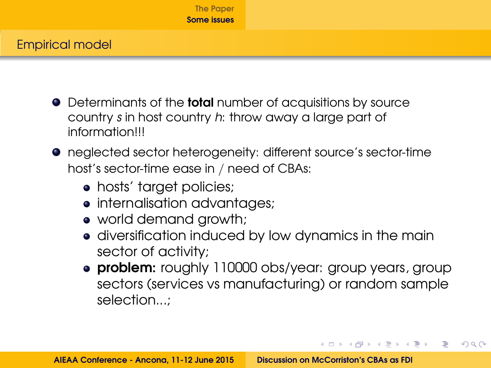#### Empirical model

- Determinants of the **total** number of acquisitions by source country s in host country h: throw away a large part of information!!!
- neglected sector heterogeneity: different source's sector-time host's sector-time ease in / need of CBAs:
	- hosts' target policies;
	- internalisation advantages;
	- world demand growth;
	- diversification induced by low dynamics in the main sector of activity;
	- **problem:** roughly 110000 obs/year: group years, group sectors (services vs manufacturing) or random sample selection...;

KED KAPD KED KED E YORG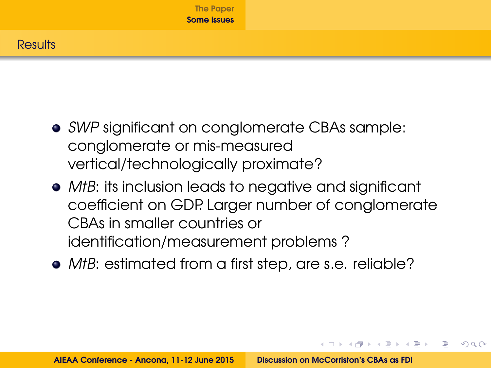## **Results**

- SWP significant on conglomerate CBAs sample: conglomerate or mis-measured vertical/technologically proximate?
- MtB: its inclusion leads to negative and significant coefficient on GDP. Larger number of conglomerate CBAs in smaller countries or identification/measurement problems ?
- MtB: estimated from a first step, are s.e. reliable?

イロト イ押 トイラト イラトー

 $\equiv$   $\Omega$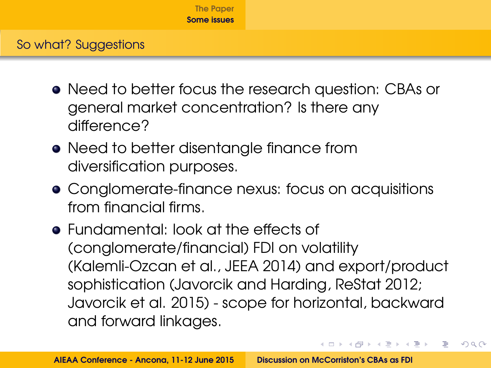- Need to better focus the research question: CBAs or general market concentration? Is there any difference?
- Need to better disentangle finance from diversification purposes.
- Conglomerate-finance nexus: focus on acquisitions from financial firms.
- Fundamental: look at the effects of (conglomerate/financial) FDI on volatility (Kalemli-Ozcan et al., JEEA 2014) and export/product sophistication (Javorcik and Harding, ReStat 2012; Javorcik et al. 2015) - scope for horizontal, backward and forward linkages.

KEL KALEY (E) LE YORA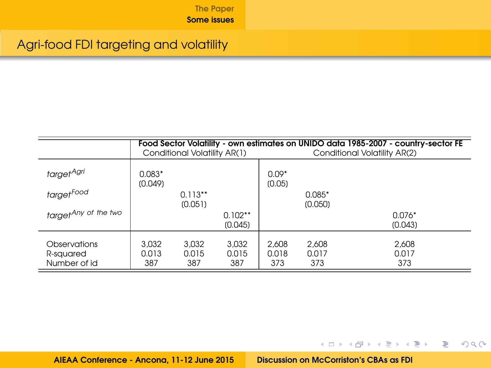## Agri-food FDI targeting and volatility

|                                           |                       | Conditional Volatility AR(1) |                       | Food Sector Volatility - own estimates on UNIDO data 1985-2007 - country-sector FE<br>Conditional Volatility AR(2) |                       |                       |  |
|-------------------------------------------|-----------------------|------------------------------|-----------------------|--------------------------------------------------------------------------------------------------------------------|-----------------------|-----------------------|--|
| target <sup>Agri</sup>                    | $0.083*$<br>(0.049)   |                              |                       | $0.09*$<br>(0.05)                                                                                                  |                       |                       |  |
| target <sup>Food</sup>                    |                       | $0.113**$<br>(0.051)         |                       |                                                                                                                    | $0.085*$<br>(0.050)   |                       |  |
| target <sup>Any of the two</sup>          |                       |                              | $0.102**$<br>(0.045)  |                                                                                                                    |                       | $0.076*$<br>(0.043)   |  |
| Observations<br>R-squared<br>Number of id | 3.032<br>0.013<br>387 | 3.032<br>0.015<br>387        | 3.032<br>0.015<br>387 | 2.608<br>0.018<br>373                                                                                              | 2.608<br>0.017<br>373 | 2.608<br>0.017<br>373 |  |

AIEAA Conference - Ancona, 11-12 June 2015 [Discussion on McCorriston's CBAs as FDI](#page-0-0)

K ロ > K 個 > K ミ > K ミ > 「ミ → り Q Q →